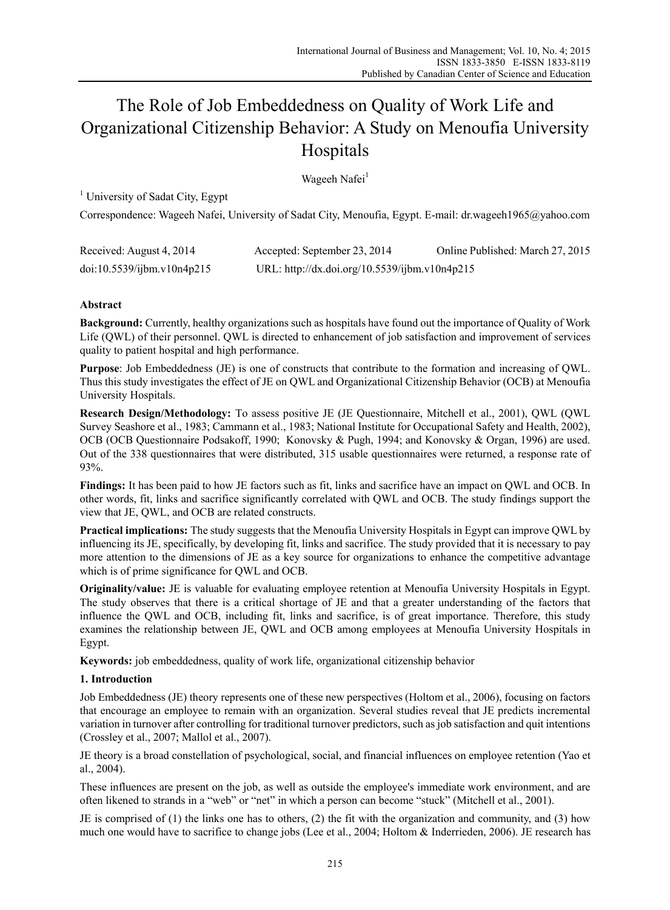# The Role of Job Embeddedness on Quality of Work Life and Organizational Citizenship Behavior: A Study on Menoufia University Hospitals

Wageeh Nafei<sup>1</sup>

<sup>1</sup> University of Sadat City, Egypt

Correspondence: Wageeh Nafei, University of Sadat City, Menoufia, Egypt. E-mail: dr.wageeh1965@yahoo.com

| Received: August 4, 2014   | Accepted: September 23, 2014                  | Online Published: March 27, 2015 |
|----------------------------|-----------------------------------------------|----------------------------------|
| doi:10.5539/ijbm.v10n4p215 | URL: http://dx.doi.org/10.5539/ijbm.v10n4p215 |                                  |

# **Abstract**

**Background:** Currently, healthy organizations such as hospitals have found out the importance of Quality of Work Life (QWL) of their personnel. QWL is directed to enhancement of job satisfaction and improvement of services quality to patient hospital and high performance.

**Purpose:** Job Embeddedness (JE) is one of constructs that contribute to the formation and increasing of QWL. Thus this study investigates the effect of JE on QWL and Organizational Citizenship Behavior (OCB) at Menoufia University Hospitals.

**Research Design/Methodology:** To assess positive JE (JE Questionnaire, Mitchell et al., 2001), QWL (QWL Survey Seashore et al., 1983; Cammann et al., 1983; National Institute for Occupational Safety and Health, 2002), OCB (OCB Questionnaire Podsakoff, 1990; Konovsky & Pugh, 1994; and Konovsky & Organ, 1996) are used. Out of the 338 questionnaires that were distributed, 315 usable questionnaires were returned, a response rate of 93%.

**Findings:** It has been paid to how JE factors such as fit, links and sacrifice have an impact on QWL and OCB. In other words, fit, links and sacrifice significantly correlated with QWL and OCB. The study findings support the view that JE, QWL, and OCB are related constructs.

**Practical implications:** The study suggests that the Menoufia University Hospitals in Egypt can improve QWL by influencing its JE, specifically, by developing fit, links and sacrifice. The study provided that it is necessary to pay more attention to the dimensions of JE as a key source for organizations to enhance the competitive advantage which is of prime significance for QWL and OCB.

**Originality/value:** JE is valuable for evaluating employee retention at Menoufia University Hospitals in Egypt. The study observes that there is a critical shortage of JE and that a greater understanding of the factors that influence the QWL and OCB, including fit, links and sacrifice, is of great importance. Therefore, this study examines the relationship between JE, QWL and OCB among employees at Menoufia University Hospitals in Egypt.

**Keywords:** job embeddedness, quality of work life, organizational citizenship behavior

# **1. Introduction**

Job Embeddedness (JE) theory represents one of these new perspectives (Holtom et al., 2006), focusing on factors that encourage an employee to remain with an organization. Several studies reveal that JE predicts incremental variation in turnover after controlling for traditional turnover predictors, such as job satisfaction and quit intentions (Crossley et al., 2007; Mallol et al., 2007).

JE theory is a broad constellation of psychological, social, and financial influences on employee retention (Yao et al., 2004).

These influences are present on the job, as well as outside the employee's immediate work environment, and are often likened to strands in a "web" or "net" in which a person can become "stuck" (Mitchell et al., 2001).

JE is comprised of (1) the links one has to others, (2) the fit with the organization and community, and (3) how much one would have to sacrifice to change jobs (Lee et al., 2004; Holtom & Inderrieden, 2006). JE research has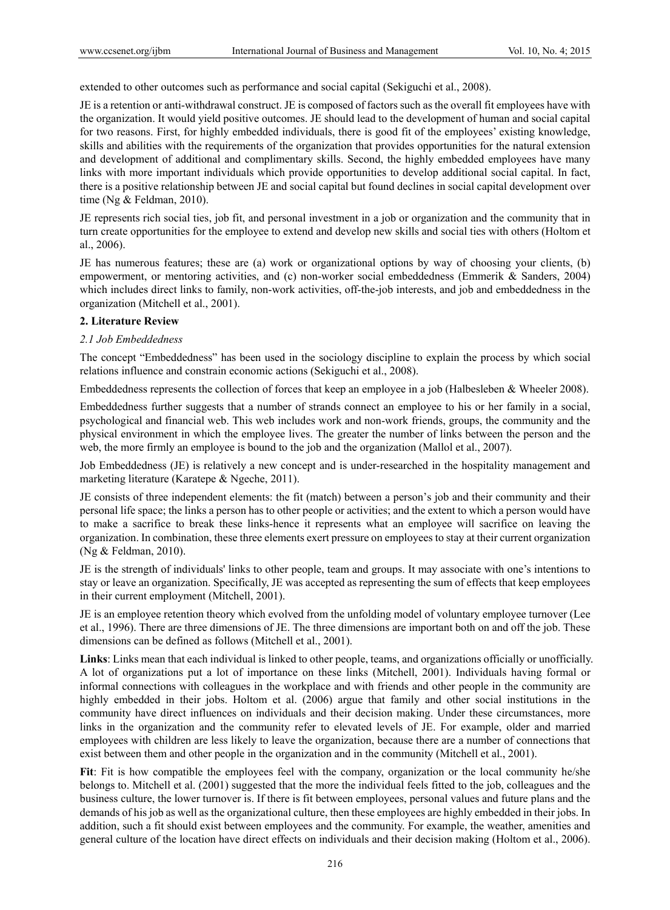extended to other outcomes such as performance and social capital (Sekiguchi et al., 2008).

JE is a retention or anti-withdrawal construct. JE is composed of factors such as the overall fit employees have with the organization. It would yield positive outcomes. JE should lead to the development of human and social capital for two reasons. First, for highly embedded individuals, there is good fit of the employees' existing knowledge, skills and abilities with the requirements of the organization that provides opportunities for the natural extension and development of additional and complimentary skills. Second, the highly embedded employees have many links with more important individuals which provide opportunities to develop additional social capital. In fact, there is a positive relationship between JE and social capital but found declines in social capital development over time (Ng & Feldman, 2010).

JE represents rich social ties, job fit, and personal investment in a job or organization and the community that in turn create opportunities for the employee to extend and develop new skills and social ties with others (Holtom et al., 2006).

JE has numerous features; these are (a) work or organizational options by way of choosing your clients, (b) empowerment, or mentoring activities, and (c) non-worker social embeddedness (Emmerik & Sanders, 2004) which includes direct links to family, non-work activities, off-the-job interests, and job and embeddedness in the organization (Mitchell et al., 2001).

## **2. Literature Review**

## *2.1 Job Embeddedness*

The concept "Embeddedness" has been used in the sociology discipline to explain the process by which social relations influence and constrain economic actions (Sekiguchi et al., 2008).

Embeddedness represents the collection of forces that keep an employee in a job (Halbesleben & Wheeler 2008).

Embeddedness further suggests that a number of strands connect an employee to his or her family in a social, psychological and financial web. This web includes work and non-work friends, groups, the community and the physical environment in which the employee lives. The greater the number of links between the person and the web, the more firmly an employee is bound to the job and the organization (Mallol et al., 2007).

Job Embeddedness (JE) is relatively a new concept and is under-researched in the hospitality management and marketing literature (Karatepe & Ngeche, 2011).

JE consists of three independent elements: the fit (match) between a person's job and their community and their personal life space; the links a person has to other people or activities; and the extent to which a person would have to make a sacrifice to break these links-hence it represents what an employee will sacrifice on leaving the organization. In combination, these three elements exert pressure on employees to stay at their current organization (Ng & Feldman, 2010).

JE is the strength of individuals' links to other people, team and groups. It may associate with one's intentions to stay or leave an organization. Specifically, JE was accepted as representing the sum of effects that keep employees in their current employment (Mitchell, 2001).

JE is an employee retention theory which evolved from the unfolding model of voluntary employee turnover (Lee et al., 1996). There are three dimensions of JE. The three dimensions are important both on and off the job. These dimensions can be defined as follows (Mitchell et al., 2001).

**Links**: Links mean that each individual is linked to other people, teams, and organizations officially or unofficially. A lot of organizations put a lot of importance on these links (Mitchell, 2001). Individuals having formal or informal connections with colleagues in the workplace and with friends and other people in the community are highly embedded in their jobs. Holtom et al. (2006) argue that family and other social institutions in the community have direct influences on individuals and their decision making. Under these circumstances, more links in the organization and the community refer to elevated levels of JE. For example, older and married employees with children are less likely to leave the organization, because there are a number of connections that exist between them and other people in the organization and in the community (Mitchell et al., 2001).

Fit: Fit is how compatible the employees feel with the company, organization or the local community he/she belongs to. Mitchell et al. (2001) suggested that the more the individual feels fitted to the job, colleagues and the business culture, the lower turnover is. If there is fit between employees, personal values and future plans and the demands of his job as well as the organizational culture, then these employees are highly embedded in their jobs. In addition, such a fit should exist between employees and the community. For example, the weather, amenities and general culture of the location have direct effects on individuals and their decision making (Holtom et al., 2006).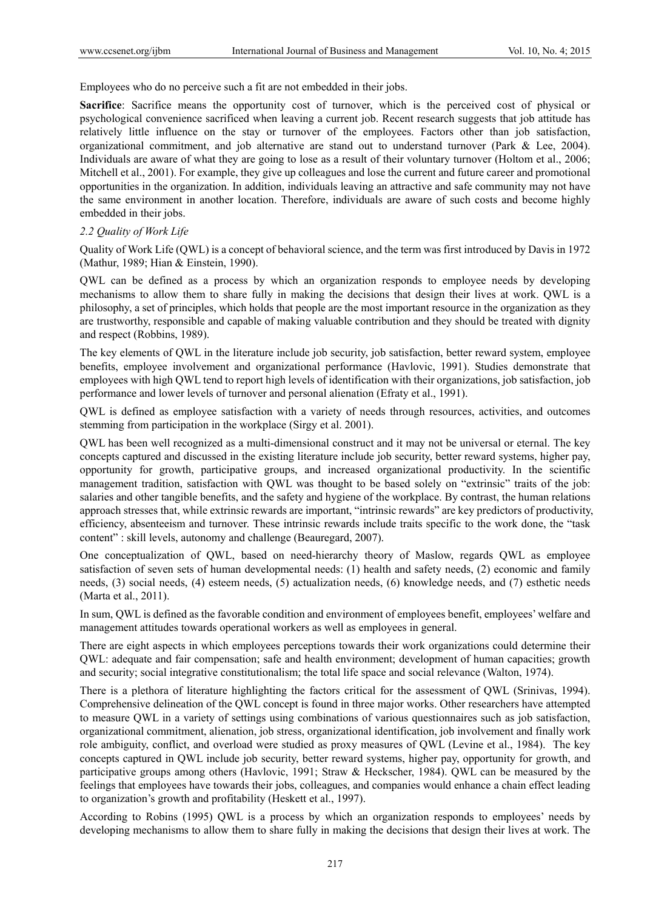Employees who do no perceive such a fit are not embedded in their jobs.

**Sacrifice**: Sacrifice means the opportunity cost of turnover, which is the perceived cost of physical or psychological convenience sacrificed when leaving a current job. Recent research suggests that job attitude has relatively little influence on the stay or turnover of the employees. Factors other than job satisfaction, organizational commitment, and job alternative are stand out to understand turnover (Park & Lee, 2004). Individuals are aware of what they are going to lose as a result of their voluntary turnover (Holtom et al., 2006; Mitchell et al., 2001). For example, they give up colleagues and lose the current and future career and promotional opportunities in the organization. In addition, individuals leaving an attractive and safe community may not have the same environment in another location. Therefore, individuals are aware of such costs and become highly embedded in their jobs.

## *2.2 Quality of Work Life*

Quality of Work Life (QWL) is a concept of behavioral science, and the term was first introduced by Davis in 1972 (Mathur, 1989; Hian & Einstein, 1990).

QWL can be defined as a process by which an organization responds to employee needs by developing mechanisms to allow them to share fully in making the decisions that design their lives at work. QWL is a philosophy, a set of principles, which holds that people are the most important resource in the organization as they are trustworthy, responsible and capable of making valuable contribution and they should be treated with dignity and respect (Robbins, 1989).

The key elements of QWL in the literature include job security, job satisfaction, better reward system, employee benefits, employee involvement and organizational performance (Havlovic, 1991). Studies demonstrate that employees with high QWL tend to report high levels of identification with their organizations, job satisfaction, job performance and lower levels of turnover and personal alienation (Efraty et al., 1991).

QWL is defined as employee satisfaction with a variety of needs through resources, activities, and outcomes stemming from participation in the workplace (Sirgy et al. 2001).

QWL has been well recognized as a multi-dimensional construct and it may not be universal or eternal. The key concepts captured and discussed in the existing literature include job security, better reward systems, higher pay, opportunity for growth, participative groups, and increased organizational productivity. In the scientific management tradition, satisfaction with QWL was thought to be based solely on "extrinsic" traits of the job: salaries and other tangible benefits, and the safety and hygiene of the workplace. By contrast, the human relations approach stresses that, while extrinsic rewards are important, "intrinsic rewards" are key predictors of productivity, efficiency, absenteeism and turnover. These intrinsic rewards include traits specific to the work done, the "task content" : skill levels, autonomy and challenge (Beauregard, 2007).

One conceptualization of QWL, based on need-hierarchy theory of Maslow, regards QWL as employee satisfaction of seven sets of human developmental needs: (1) health and safety needs, (2) economic and family needs, (3) social needs, (4) esteem needs, (5) actualization needs, (6) knowledge needs, and (7) esthetic needs (Marta et al., 2011).

In sum, QWL is defined as the favorable condition and environment of employees benefit, employees' welfare and management attitudes towards operational workers as well as employees in general.

There are eight aspects in which employees perceptions towards their work organizations could determine their QWL: adequate and fair compensation; safe and health environment; development of human capacities; growth and security; social integrative constitutionalism; the total life space and social relevance (Walton, 1974).

There is a plethora of literature highlighting the factors critical for the assessment of QWL (Srinivas, 1994). Comprehensive delineation of the QWL concept is found in three major works. Other researchers have attempted to measure QWL in a variety of settings using combinations of various questionnaires such as job satisfaction, organizational commitment, alienation, job stress, organizational identification, job involvement and finally work role ambiguity, conflict, and overload were studied as proxy measures of QWL (Levine et al., 1984). The key concepts captured in QWL include job security, better reward systems, higher pay, opportunity for growth, and participative groups among others (Havlovic, 1991; Straw & Heckscher, 1984). QWL can be measured by the feelings that employees have towards their jobs, colleagues, and companies would enhance a chain effect leading to organization's growth and profitability (Heskett et al., 1997).

According to Robins (1995) QWL is a process by which an organization responds to employees' needs by developing mechanisms to allow them to share fully in making the decisions that design their lives at work. The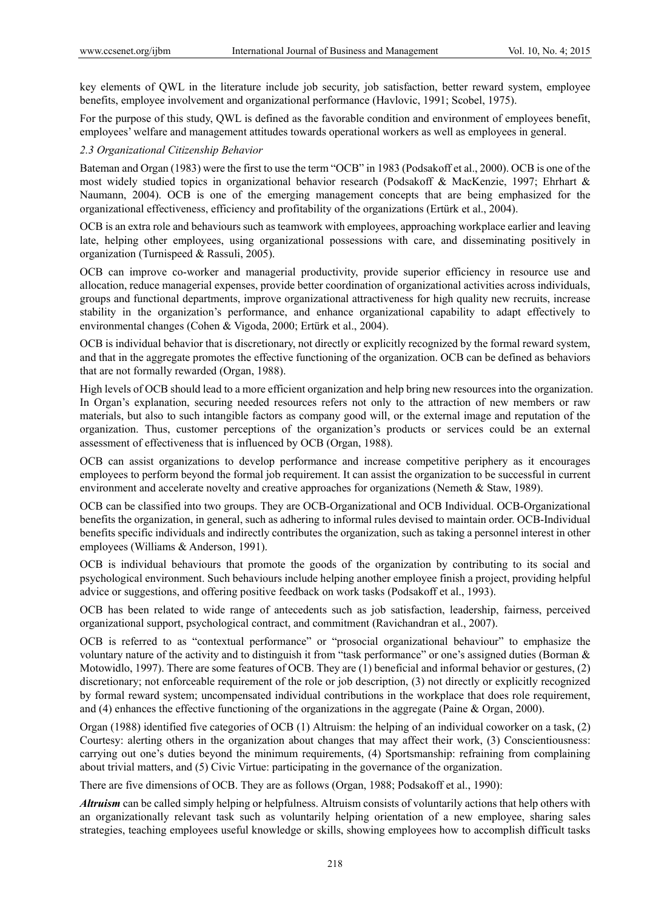key elements of QWL in the literature include job security, job satisfaction, better reward system, employee benefits, employee involvement and organizational performance (Havlovic, 1991; Scobel, 1975).

For the purpose of this study, QWL is defined as the favorable condition and environment of employees benefit, employees' welfare and management attitudes towards operational workers as well as employees in general.

#### *2.3 Organizational Citizenship Behavior*

Bateman and Organ (1983) were the first to use the term "OCB" in 1983 (Podsakoff et al., 2000). OCB is one of the most widely studied topics in organizational behavior research (Podsakoff & MacKenzie, 1997; Ehrhart & Naumann, 2004). OCB is one of the emerging management concepts that are being emphasized for the organizational effectiveness, efficiency and profitability of the organizations (Ertürk et al., 2004).

OCB is an extra role and behaviours such as teamwork with employees, approaching workplace earlier and leaving late, helping other employees, using organizational possessions with care, and disseminating positively in organization (Turnispeed & Rassuli, 2005).

OCB can improve co-worker and managerial productivity, provide superior efficiency in resource use and allocation, reduce managerial expenses, provide better coordination of organizational activities across individuals, groups and functional departments, improve organizational attractiveness for high quality new recruits, increase stability in the organization's performance, and enhance organizational capability to adapt effectively to environmental changes (Cohen & Vigoda, 2000; Ertürk et al., 2004).

OCB is individual behavior that is discretionary, not directly or explicitly recognized by the formal reward system, and that in the aggregate promotes the effective functioning of the organization. OCB can be defined as behaviors that are not formally rewarded (Organ, 1988).

High levels of OCB should lead to a more efficient organization and help bring new resources into the organization. In Organ's explanation, securing needed resources refers not only to the attraction of new members or raw materials, but also to such intangible factors as company good will, or the external image and reputation of the organization. Thus, customer perceptions of the organization's products or services could be an external assessment of effectiveness that is influenced by OCB (Organ, 1988).

OCB can assist organizations to develop performance and increase competitive periphery as it encourages employees to perform beyond the formal job requirement. It can assist the organization to be successful in current environment and accelerate novelty and creative approaches for organizations (Nemeth & Staw, 1989).

OCB can be classified into two groups. They are OCB-Organizational and OCB Individual. OCB-Organizational benefits the organization, in general, such as adhering to informal rules devised to maintain order. OCB-Individual benefits specific individuals and indirectly contributes the organization, such as taking a personnel interest in other employees (Williams & Anderson, 1991).

OCB is individual behaviours that promote the goods of the organization by contributing to its social and psychological environment. Such behaviours include helping another employee finish a project, providing helpful advice or suggestions, and offering positive feedback on work tasks (Podsakoff et al., 1993).

OCB has been related to wide range of antecedents such as job satisfaction, leadership, fairness, perceived organizational support, psychological contract, and commitment (Ravichandran et al., 2007).

OCB is referred to as "contextual performance" or "prosocial organizational behaviour" to emphasize the voluntary nature of the activity and to distinguish it from "task performance" or one's assigned duties (Borman & Motowidlo, 1997). There are some features of OCB. They are (1) beneficial and informal behavior or gestures, (2) discretionary; not enforceable requirement of the role or job description, (3) not directly or explicitly recognized by formal reward system; uncompensated individual contributions in the workplace that does role requirement, and (4) enhances the effective functioning of the organizations in the aggregate (Paine & Organ, 2000).

Organ (1988) identified five categories of OCB (1) Altruism: the helping of an individual coworker on a task, (2) Courtesy: alerting others in the organization about changes that may affect their work, (3) Conscientiousness: carrying out one's duties beyond the minimum requirements, (4) Sportsmanship: refraining from complaining about trivial matters, and (5) Civic Virtue: participating in the governance of the organization.

There are five dimensions of OCB. They are as follows (Organ, 1988; Podsakoff et al., 1990):

*Altruism* can be called simply helping or helpfulness. Altruism consists of voluntarily actions that help others with an organizationally relevant task such as voluntarily helping orientation of a new employee, sharing sales strategies, teaching employees useful knowledge or skills, showing employees how to accomplish difficult tasks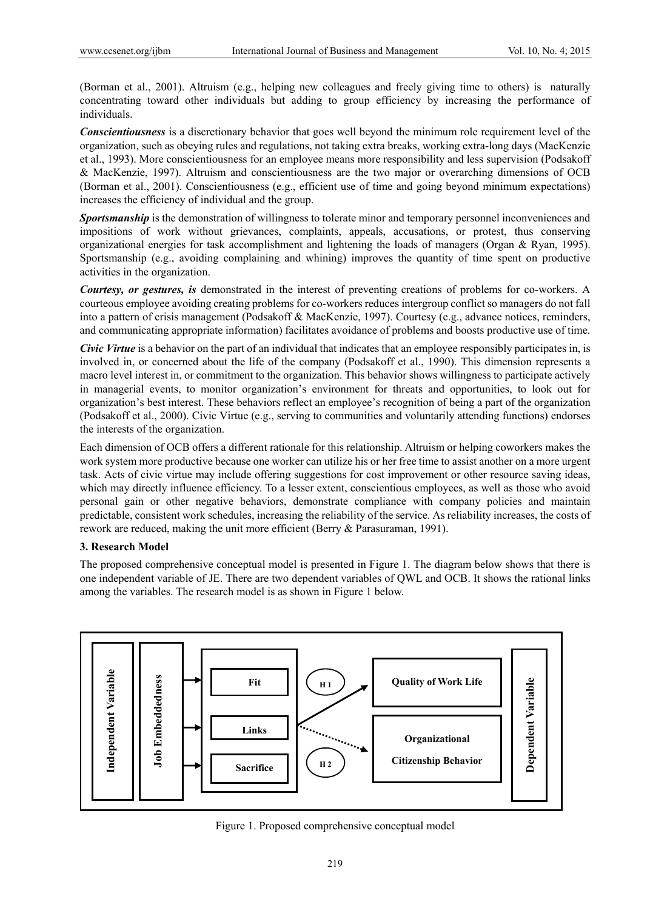(Borman et al., 2001). Altruism (e.g., helping new colleagues and freely giving time to others) is naturally concentrating toward other individuals but adding to group efficiency by increasing the performance of individuals.

*Conscientiousness* is a discretionary behavior that goes well beyond the minimum role requirement level of the organization, such as obeying rules and regulations, not taking extra breaks, working extra-long days (MacKenzie et al., 1993). More conscientiousness for an employee means more responsibility and less supervision (Podsakoff & MacKenzie, 1997). Altruism and conscientiousness are the two major or overarching dimensions of OCB (Borman et al., 2001). Conscientiousness (e.g., efficient use of time and going beyond minimum expectations) increases the efficiency of individual and the group.

*Sportsmanship* is the demonstration of willingness to tolerate minor and temporary personnel inconveniences and impositions of work without grievances, complaints, appeals, accusations, or protest, thus conserving organizational energies for task accomplishment and lightening the loads of managers (Organ & Ryan, 1995). Sportsmanship (e.g., avoiding complaining and whining) improves the quantity of time spent on productive activities in the organization.

*Courtesy, or gestures, is* demonstrated in the interest of preventing creations of problems for co-workers. A courteous employee avoiding creating problems for co-workers reduces intergroup conflict so managers do not fall into a pattern of crisis management (Podsakoff & MacKenzie, 1997). Courtesy (e.g., advance notices, reminders, and communicating appropriate information) facilitates avoidance of problems and boosts productive use of time.

*Civic Virtue* is a behavior on the part of an individual that indicates that an employee responsibly participates in, is involved in, or concerned about the life of the company (Podsakoff et al., 1990). This dimension represents a macro level interest in, or commitment to the organization. This behavior shows willingness to participate actively in managerial events, to monitor organization's environment for threats and opportunities, to look out for organization's best interest. These behaviors reflect an employee's recognition of being a part of the organization (Podsakoff et al., 2000). Civic Virtue (e.g., serving to communities and voluntarily attending functions) endorses the interests of the organization.

Each dimension of OCB offers a different rationale for this relationship. Altruism or helping coworkers makes the work system more productive because one worker can utilize his or her free time to assist another on a more urgent task. Acts of civic virtue may include offering suggestions for cost improvement or other resource saving ideas, which may directly influence efficiency. To a lesser extent, conscientious employees, as well as those who avoid personal gain or other negative behaviors, demonstrate compliance with company policies and maintain predictable, consistent work schedules, increasing the reliability of the service. As reliability increases, the costs of rework are reduced, making the unit more efficient (Berry & Parasuraman, 1991).

## **3. Research Model**

The proposed comprehensive conceptual model is presented in Figure 1. The diagram below shows that there is one independent variable of JE. There are two dependent variables of QWL and OCB. It shows the rational links among the variables. The research model is as shown in Figure 1 below.



Figure 1. Proposed comprehensive conceptual model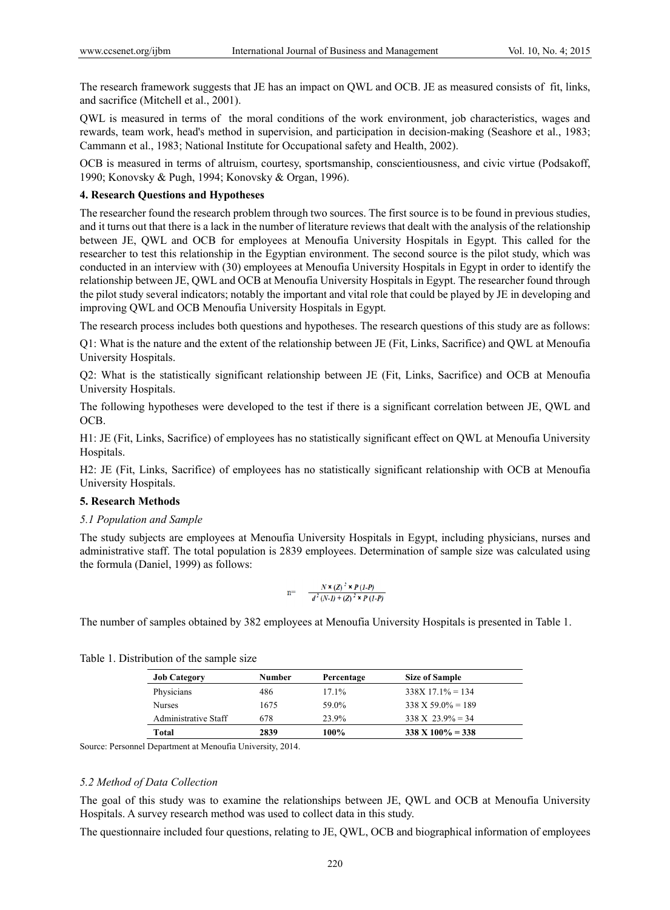The research framework suggests that JE has an impact on QWL and OCB. JE as measured consists of fit, links, and sacrifice (Mitchell et al., 2001).

QWL is measured in terms of the moral conditions of the work environment, job characteristics, wages and rewards, team work, head's method in supervision, and participation in decision-making (Seashore et al., 1983; Cammann et al., 1983; National Institute for Occupational safety and Health, 2002).

OCB is measured in terms of altruism, courtesy, sportsmanship, conscientiousness, and civic virtue (Podsakoff, 1990; Konovsky & Pugh, 1994; Konovsky & Organ, 1996).

#### **4. Research Questions and Hypotheses**

The researcher found the research problem through two sources. The first source is to be found in previous studies, and it turns out that there is a lack in the number of literature reviews that dealt with the analysis of the relationship between JE, QWL and OCB for employees at Menoufia University Hospitals in Egypt. This called for the researcher to test this relationship in the Egyptian environment. The second source is the pilot study, which was conducted in an interview with (30) employees at Menoufia University Hospitals in Egypt in order to identify the relationship between JE, QWL and OCB at Menoufia University Hospitals in Egypt. The researcher found through the pilot study several indicators; notably the important and vital role that could be played by JE in developing and improving QWL and OCB Menoufia University Hospitals in Egypt.

The research process includes both questions and hypotheses. The research questions of this study are as follows:

Q1: What is the nature and the extent of the relationship between JE (Fit, Links, Sacrifice) and QWL at Menoufia University Hospitals.

Q2: What is the statistically significant relationship between JE (Fit, Links, Sacrifice) and OCB at Menoufia University Hospitals.

The following hypotheses were developed to the test if there is a significant correlation between JE, QWL and OCB.

H1: JE (Fit, Links, Sacrifice) of employees has no statistically significant effect on QWL at Menoufia University Hospitals.

H2: JE (Fit, Links, Sacrifice) of employees has no statistically significant relationship with OCB at Menoufia University Hospitals.

#### **5. Research Methods**

#### *5.1 Population and Sample*

The study subjects are employees at Menoufia University Hospitals in Egypt, including physicians, nurses and administrative staff. The total population is 2839 employees. Determination of sample size was calculated using the formula (Daniel, 1999) as follows:

$$
n = \frac{N \times (Z)^2 \times P (I-P)}{d^2 (N-I) + (Z)^2 \times P (I-P)}
$$

The number of samples obtained by 382 employees at Menoufia University Hospitals is presented in Table 1.

| Table 1. Distribution of the sample size |  |
|------------------------------------------|--|
|                                          |  |

| <b>Job Category</b>  | Number | Percentage | Size of Sample                |
|----------------------|--------|------------|-------------------------------|
| Physicians           | 486    | 17.1%      | $338X$ 17.1% = 134            |
| <b>Nurses</b>        | 1675   | 59.0%      | $338 \text{ X } 59.0\% = 189$ |
| Administrative Staff | 678    | 23.9%      | $338 \text{ X}$ 23.9% = 34    |
| Total                | 2839   | 100%       | $338 \text{ X} 100\% = 338$   |

Source: Personnel Department at Menoufia University, 2014.

#### *5.2 Method of Data Collection*

The goal of this study was to examine the relationships between JE, QWL and OCB at Menoufia University Hospitals. A survey research method was used to collect data in this study.

The questionnaire included four questions, relating to JE, QWL, OCB and biographical information of employees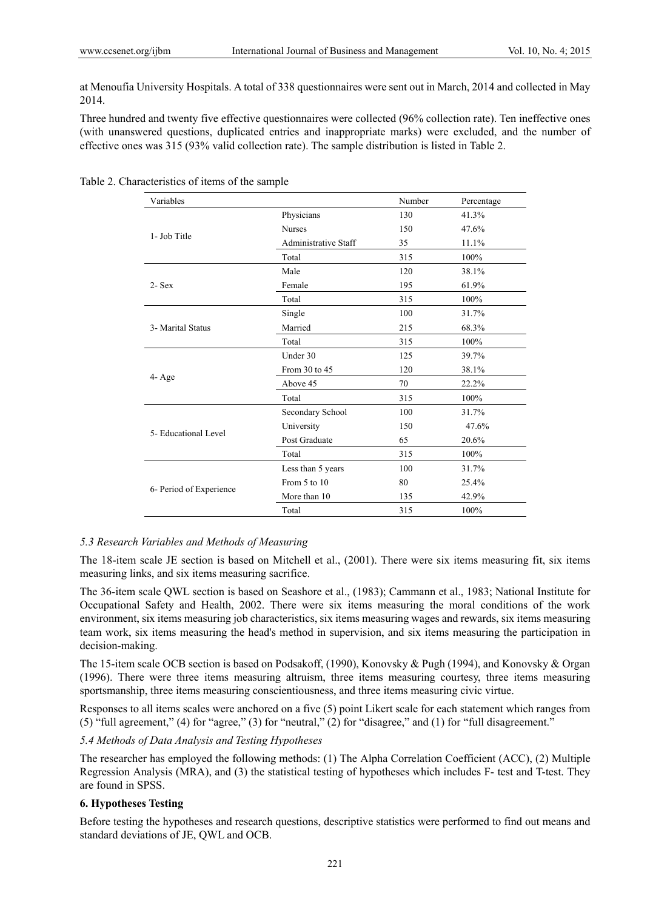at Menoufia University Hospitals. A total of 338 questionnaires were sent out in March, 2014 and collected in May 2014.

Three hundred and twenty five effective questionnaires were collected (96% collection rate). Ten ineffective ones (with unanswered questions, duplicated entries and inappropriate marks) were excluded, and the number of effective ones was 315 (93% valid collection rate). The sample distribution is listed in Table 2.

| Variables                                                       |                             | Number | Percentage |
|-----------------------------------------------------------------|-----------------------------|--------|------------|
|                                                                 | Physicians                  | 130    | 41.3%      |
|                                                                 | <b>Nurses</b>               | 150    | 47.6%      |
|                                                                 | <b>Administrative Staff</b> | 35     | 11.1%      |
|                                                                 | Total                       | 315    | 100%       |
|                                                                 | Male                        | 120    | 38.1%      |
| $2 - Sex$                                                       | Female                      | 195    | 61.9%      |
| 3- Marital Status<br>4- Age                                     | Total                       | 315    | 100%       |
|                                                                 | Single                      | 100    | 31.7%      |
|                                                                 | Married                     | 215    | 68.3%      |
|                                                                 | Total                       | 315    | 100%       |
|                                                                 | Under 30                    | 125    | 39.7%      |
|                                                                 | From 30 to 45               | 120    | 38.1%      |
|                                                                 | Above 45                    | 70     | 22.2%      |
| 1- Job Title<br>5- Educational Level<br>6- Period of Experience | Total                       | 315    | 100%       |
|                                                                 | Secondary School            | 100    | 31.7%      |
|                                                                 | University                  | 150    | 47.6%      |
|                                                                 | Post Graduate               | 65     | 20.6%      |
|                                                                 | Total                       | 315    | 100%       |
|                                                                 | Less than 5 years           | 100    | 31.7%      |
|                                                                 | From 5 to 10                | 80     | 25.4%      |
|                                                                 | More than 10                | 135    | 42.9%      |
|                                                                 | Total                       | 315    | 100%       |

Table 2. Characteristics of items of the sample

# *5.3 Research Variables and Methods of Measuring*

The 18-item scale JE section is based on Mitchell et al., (2001). There were six items measuring fit, six items measuring links, and six items measuring sacrifice.

The 36-item scale QWL section is based on Seashore et al., (1983); Cammann et al., 1983; National Institute for Occupational Safety and Health, 2002. There were six items measuring the moral conditions of the work environment, six items measuring job characteristics, six items measuring wages and rewards, six items measuring team work, six items measuring the head's method in supervision, and six items measuring the participation in decision-making.

The 15-item scale OCB section is based on Podsakoff, (1990), Konovsky & Pugh (1994), and Konovsky & Organ (1996). There were three items measuring altruism, three items measuring courtesy, three items measuring sportsmanship, three items measuring conscientiousness, and three items measuring civic virtue.

Responses to all items scales were anchored on a five (5) point Likert scale for each statement which ranges from (5) "full agreement," (4) for "agree," (3) for "neutral," (2) for "disagree," and (1) for "full disagreement."

*5.4 Methods of Data Analysis and Testing Hypotheses* 

The researcher has employed the following methods: (1) The Alpha Correlation Coefficient (ACC), (2) Multiple Regression Analysis (MRA), and (3) the statistical testing of hypotheses which includes F- test and T-test. They are found in SPSS.

## **6. Hypotheses Testing**

Before testing the hypotheses and research questions, descriptive statistics were performed to find out means and standard deviations of JE, QWL and OCB.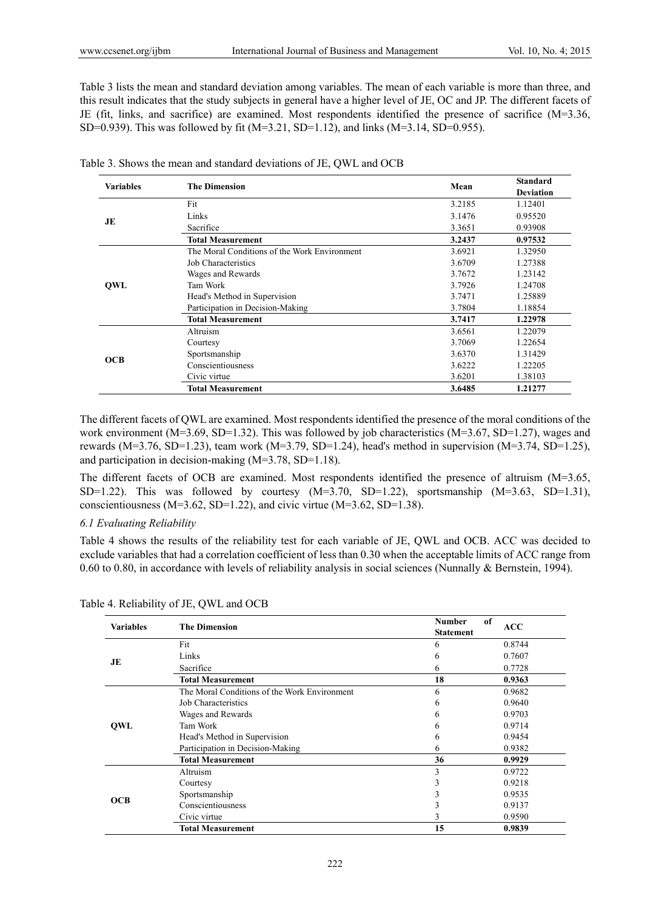Table 3 lists the mean and standard deviation among variables. The mean of each variable is more than three, and this result indicates that the study subjects in general have a higher level of JE, OC and JP. The different facets of JE (fit, links, and sacrifice) are examined. Most respondents identified the presence of sacrifice (M=3.36, SD=0.939). This was followed by fit (M=3.21, SD=1.12), and links (M=3.14, SD=0.955).

| <b>Variables</b> | <b>The Dimension</b>                         |                                                                                                                                                                      | <b>Standard</b>  |
|------------------|----------------------------------------------|----------------------------------------------------------------------------------------------------------------------------------------------------------------------|------------------|
|                  |                                              |                                                                                                                                                                      | <b>Deviation</b> |
|                  | Fit                                          | 3.2185                                                                                                                                                               | 1.12401          |
| JE               | Links                                        | Mean<br>3.1476<br>3.3651<br>3.2437<br>3.6921<br>3.6709<br>3.7672<br>3.7926<br>3.7471<br>3.7804<br>3.7417<br>3.6561<br>3.7069<br>3.6370<br>3.6222<br>3.6201<br>3.6485 | 0.95520          |
|                  | Sacrifice                                    |                                                                                                                                                                      | 0.93908          |
|                  | <b>Total Measurement</b>                     |                                                                                                                                                                      | 0.97532          |
|                  | The Moral Conditions of the Work Environment |                                                                                                                                                                      | 1.32950          |
|                  | Job Characteristics                          |                                                                                                                                                                      | 1.27388          |
|                  | Wages and Rewards                            |                                                                                                                                                                      | 1.23142          |
| OWL              | Tam Work                                     |                                                                                                                                                                      | 1.24708          |
|                  | Head's Method in Supervision                 |                                                                                                                                                                      | 1.25889          |
|                  | Participation in Decision-Making             |                                                                                                                                                                      | 1.18854          |
|                  | <b>Total Measurement</b>                     |                                                                                                                                                                      | 1.22978          |
|                  | Altruism                                     |                                                                                                                                                                      | 1.22079          |
|                  | Courtesy                                     |                                                                                                                                                                      | 1.22654          |
|                  | Sportsmanship                                |                                                                                                                                                                      | 1.31429          |
| OCB              | Conscientiousness                            |                                                                                                                                                                      | 1.22205          |
|                  | Civic virtue                                 |                                                                                                                                                                      | 1.38103          |
|                  | <b>Total Measurement</b>                     |                                                                                                                                                                      | 1.21277          |

Table 3. Shows the mean and standard deviations of JE, QWL and OCB

The different facets of QWL are examined. Most respondents identified the presence of the moral conditions of the work environment (M=3.69, SD=1.32). This was followed by job characteristics (M=3.67, SD=1.27), wages and rewards (M=3.76, SD=1.23), team work (M=3.79, SD=1.24), head's method in supervision (M=3.74, SD=1.25), and participation in decision-making (M=3.78, SD=1.18).

The different facets of OCB are examined. Most respondents identified the presence of altruism (M=3.65, SD=1.22). This was followed by courtesy  $(M=3.70, SD=1.22)$ , sportsmanship  $(M=3.63, SD=1.31)$ , conscientiousness (M=3.62, SD=1.22), and civic virtue (M=3.62, SD=1.38).

#### *6.1 Evaluating Reliability*

Table 4 shows the results of the reliability test for each variable of JE, QWL and OCB. ACC was decided to exclude variables that had a correlation coefficient of less than 0.30 when the acceptable limits of ACC range from 0.60 to 0.80, in accordance with levels of reliability analysis in social sciences (Nunnally & Bernstein, 1994).

| <b>Variables</b> | <b>The Dimension</b>                         | <b>Number</b>    | of<br>ACC |
|------------------|----------------------------------------------|------------------|-----------|
|                  |                                              | <b>Statement</b> |           |
|                  | Fit                                          | 6                | 0.8744    |
| JE               | Links                                        | 6                | 0.7607    |
|                  | Sacrifice                                    | 6                | 0.7728    |
|                  | <b>Total Measurement</b>                     | 18               | 0.9363    |
|                  | The Moral Conditions of the Work Environment | 6                | 0.9682    |
|                  | Job Characteristics                          | 6                | 0.9640    |
|                  | Wages and Rewards                            | 6                | 0.9703    |
| OWL              | Tam Work                                     | 6                | 0.9714    |
|                  | Head's Method in Supervision                 | 6                | 0.9454    |
|                  | Participation in Decision-Making             | 6                | 0.9382    |
|                  | <b>Total Measurement</b>                     | 36               | 0.9929    |
|                  | Altruism                                     | 3                | 0.9722    |
|                  | Courtesy                                     |                  | 0.9218    |
|                  | Sportsmanship                                |                  | 0.9535    |
| OCB              | Conscientiousness                            | Ć                | 0.9137    |
|                  | Civic virtue                                 | 3                | 0.9590    |
|                  | <b>Total Measurement</b>                     | 15               | 0.9839    |

| Table 4. Reliability of JE, QWL and OCB |  |  |
|-----------------------------------------|--|--|
|                                         |  |  |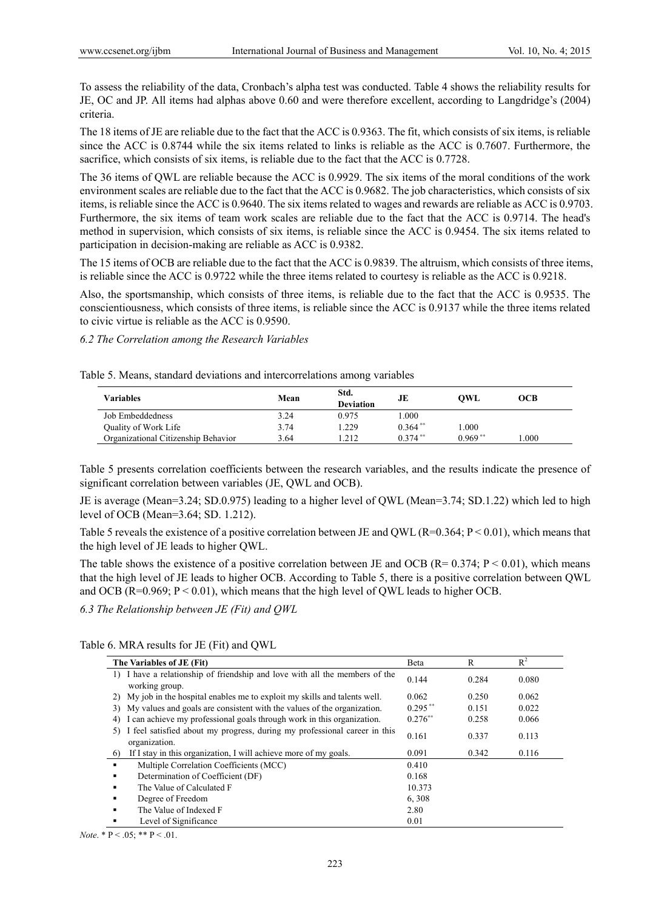To assess the reliability of the data, Cronbach's alpha test was conducted. Table 4 shows the reliability results for JE, OC and JP. All items had alphas above 0.60 and were therefore excellent, according to Langdridge's (2004) criteria.

The 18 items of JE are reliable due to the fact that the ACC is 0.9363. The fit, which consists of six items, is reliable since the ACC is 0.8744 while the six items related to links is reliable as the ACC is 0.7607. Furthermore, the sacrifice, which consists of six items, is reliable due to the fact that the ACC is 0.7728.

The 36 items of QWL are reliable because the ACC is 0.9929. The six items of the moral conditions of the work environment scales are reliable due to the fact that the ACC is 0.9682. The job characteristics, which consists of six items, is reliable since the ACC is 0.9640. The six items related to wages and rewards are reliable as ACC is 0.9703. Furthermore, the six items of team work scales are reliable due to the fact that the ACC is 0.9714. The head's method in supervision, which consists of six items, is reliable since the ACC is 0.9454. The six items related to participation in decision-making are reliable as ACC is 0.9382.

The 15 items of OCB are reliable due to the fact that the ACC is 0.9839. The altruism, which consists of three items, is reliable since the ACC is 0.9722 while the three items related to courtesy is reliable as the ACC is 0.9218.

Also, the sportsmanship, which consists of three items, is reliable due to the fact that the ACC is 0.9535. The conscientiousness, which consists of three items, is reliable since the ACC is 0.9137 while the three items related to civic virtue is reliable as the ACC is 0.9590.

*6.2 The Correlation among the Research Variables* 

| Table 5. Means, standard deviations and intercorrelations among variables |  |
|---------------------------------------------------------------------------|--|
|---------------------------------------------------------------------------|--|

| Variables                           | Mean | Std.<br><b>Deviation</b> | JE        | OWL       | OCB  |
|-------------------------------------|------|--------------------------|-----------|-----------|------|
| Job Embeddedness                    | 3.24 | 0.975                    | .000      |           |      |
| Quality of Work Life                | 3.74 | .229                     | $0.364**$ | 000       |      |
| Organizational Citizenship Behavior | 3.64 | .212                     | $0.374**$ | $0.969**$ | .000 |

Table 5 presents correlation coefficients between the research variables, and the results indicate the presence of significant correlation between variables (JE, QWL and OCB).

JE is average (Mean=3.24; SD.0.975) leading to a higher level of QWL (Mean=3.74; SD.1.22) which led to high level of OCB (Mean=3.64; SD. 1.212).

Table 5 reveals the existence of a positive correlation between JE and OWL (R=0.364; P < 0.01), which means that the high level of JE leads to higher QWL.

The table shows the existence of a positive correlation between JE and OCB (R=  $0.374$ ; P <  $0.01$ ), which means that the high level of JE leads to higher OCB. According to Table 5, there is a positive correlation between QWL and OCB ( $R=0.969$ ;  $P < 0.01$ ), which means that the high level of QWL leads to higher OCB.

*6.3 The Relationship between JE (Fit) and QWL* 

Table 6. MRA results for JE (Fit) and QWL

| The Variables of JE (Fit)                                                                        | Beta       | R     | $R^2$ |
|--------------------------------------------------------------------------------------------------|------------|-------|-------|
| 1) I have a relationship of friendship and love with all the members of the<br>working group.    | 0.144      | 0.284 | 0.080 |
| My job in the hospital enables me to exploit my skills and talents well.<br>2)                   | 0.062      | 0.250 | 0.062 |
| My values and goals are consistent with the values of the organization.<br>3)                    | $0.295***$ | 0.151 | 0.022 |
| I can achieve my professional goals through work in this organization.<br>4)                     | $0.276***$ | 0.258 | 0.066 |
| I feel satisfied about my progress, during my professional career in this<br>5)<br>organization. | 0.161      | 0.337 | 0.113 |
| If I stay in this organization, I will achieve more of my goals.<br>6)                           | 0.091      | 0.342 | 0.116 |
| Multiple Correlation Coefficients (MCC)                                                          | 0.410      |       |       |
| Determination of Coefficient (DF)<br>٠                                                           | 0.168      |       |       |
| The Value of Calculated F<br>٠                                                                   | 10.373     |       |       |
| Degree of Freedom<br>٠                                                                           | 6.308      |       |       |
| The Value of Indexed F<br>٠                                                                      | 2.80       |       |       |
| Level of Significance<br>٠                                                                       | 0.01       |       |       |

*Note*. \* **P** < .05; \*\* **P** < .01.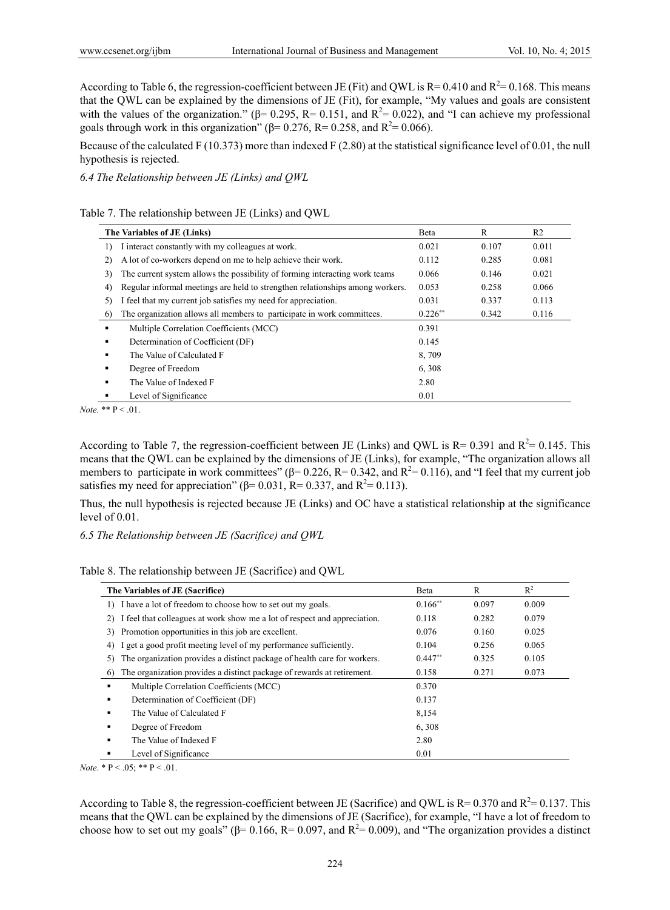According to Table 6, the regression-coefficient between JE (Fit) and QWL is  $R = 0.410$  and  $R^2 = 0.168$ . This means that the QWL can be explained by the dimensions of JE (Fit), for example, "My values and goals are consistent with the values of the organization." ( $\beta$ = 0.295, R= 0.151, and R<sup>2</sup>= 0.022), and "I can achieve my professional goals through work in this organization" ( $\beta$ = 0.276, R= 0.258, and R<sup>2</sup>= 0.066).

Because of the calculated F (10.373) more than indexed F (2.80) at the statistical significance level of 0.01, the null hypothesis is rejected.

*6.4 The Relationship between JE (Links) and QWL* 

Table 7. The relationship between JE (Links) and QWL

|        | The Variables of JE (Links)                                                   | Beta      | R     | R <sub>2</sub> |
|--------|-------------------------------------------------------------------------------|-----------|-------|----------------|
| $_{1}$ | I interact constantly with my colleagues at work.                             | 0.021     | 0.107 | 0.011          |
| 2)     | A lot of co-workers depend on me to help achieve their work.                  | 0.112     | 0.285 | 0.081          |
| 3)     | The current system allows the possibility of forming interacting work teams   | 0.066     | 0.146 | 0.021          |
| 4)     | Regular informal meetings are held to strengthen relationships among workers. | 0.053     | 0.258 | 0.066          |
| 5)     | I feel that my current job satisfies my need for appreciation.                | 0.031     | 0.337 | 0.113          |
| 6)     | The organization allows all members to participate in work committees.        | $0.226**$ | 0.342 | 0.116          |
| п      | Multiple Correlation Coefficients (MCC)                                       | 0.391     |       |                |
| п      | Determination of Coefficient (DF)                                             | 0.145     |       |                |
| ٠      | The Value of Calculated F                                                     | 8,709     |       |                |
| п      | Degree of Freedom                                                             | 6,308     |       |                |
| п      | The Value of Indexed F                                                        | 2.80      |       |                |
| п      | Level of Significance                                                         | 0.01      |       |                |

*Note*. \*\*  $P < .01$ .

According to Table 7, the regression-coefficient between JE (Links) and QWL is  $R = 0.391$  and  $R^2 = 0.145$ . This means that the QWL can be explained by the dimensions of JE (Links), for example, "The organization allows all members to participate in work committees"  $(\beta = 0.226, R = 0.342, \text{ and } R^2 = 0.116)$ , and "I feel that my current job satisfies my need for appreciation" ( $\beta$ = 0.031, R= 0.337, and R<sup>2</sup>= 0.113).

Thus, the null hypothesis is rejected because JE (Links) and OC have a statistical relationship at the significance level of 0.01.

*6.5 The Relationship between JE (Sacrifice) and QWL* 

| The Variables of JE (Sacrifice)                                                 | Beta         | R     | $R^2$ |
|---------------------------------------------------------------------------------|--------------|-------|-------|
| I have a lot of freedom to choose how to set out my goals.<br>$\overline{1}$    | $0.166^{**}$ | 0.097 | 0.009 |
| I feel that colleagues at work show me a lot of respect and appreciation.<br>2) | 0.118        | 0.282 | 0.079 |
| Promotion opportunities in this job are excellent.<br>3)                        | 0.076        | 0.160 | 0.025 |
| I get a good profit meeting level of my performance sufficiently.<br>4)         | 0.104        | 0.256 | 0.065 |
| The organization provides a distinct package of health care for workers.<br>5)  | $0.447**$    | 0.325 | 0.105 |
| The organization provides a distinct package of rewards at retirement.<br>6     | 0.158        | 0.271 | 0.073 |
| Multiple Correlation Coefficients (MCC)                                         | 0.370        |       |       |
| Determination of Coefficient (DF)                                               | 0.137        |       |       |
| The Value of Calculated F                                                       | 8,154        |       |       |
| Degree of Freedom                                                               | 6,308        |       |       |
| The Value of Indexed F                                                          | 2.80         |       |       |
| Level of Significance                                                           | 0.01         |       |       |

*Note*.  $* \, P < .05; ** P < .01$ .

According to Table 8, the regression-coefficient between JE (Sacrifice) and QWL is  $R = 0.370$  and  $R^2 = 0.137$ . This means that the QWL can be explained by the dimensions of JE (Sacrifice), for example, "I have a lot of freedom to choose how to set out my goals" ( $\beta$ = 0.166, R= 0.097, and R<sup>2</sup>= 0.009), and "The organization provides a distinct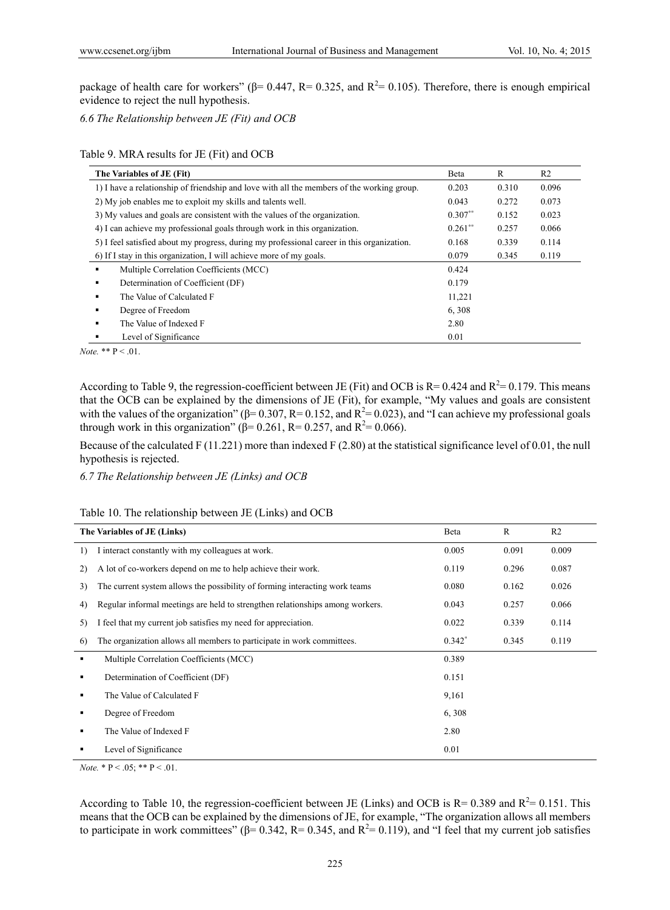package of health care for workers" ( $\beta$ = 0.447, R= 0.325, and R<sup>2</sup>= 0.105). Therefore, there is enough empirical evidence to reject the null hypothesis.

*6.6 The Relationship between JE (Fit) and OCB* 

Table 9. MRA results for JE (Fit) and OCB

| The Variables of JE (Fit)                                                                  | Beta      | R     | R2    |
|--------------------------------------------------------------------------------------------|-----------|-------|-------|
| 1) I have a relationship of friendship and love with all the members of the working group. | 0.203     | 0.310 | 0.096 |
| 2) My job enables me to exploit my skills and talents well.                                | 0.043     | 0.272 | 0.073 |
| 3) My values and goals are consistent with the values of the organization.                 | $0.307**$ | 0.152 | 0.023 |
| 4) I can achieve my professional goals through work in this organization.                  | $0.261**$ | 0.257 | 0.066 |
| 5) I feel satisfied about my progress, during my professional career in this organization. | 0.168     | 0.339 | 0.114 |
| 6) If I stay in this organization. I will achieve more of my goals.                        | 0.079     | 0.345 | 0.119 |
| Multiple Correlation Coefficients (MCC)                                                    | 0.424     |       |       |
| Determination of Coefficient (DF)<br>٠                                                     | 0.179     |       |       |
| The Value of Calculated F                                                                  | 11,221    |       |       |
| Degree of Freedom<br>٠                                                                     | 6,308     |       |       |
| The Value of Indexed F<br>٠                                                                | 2.80      |       |       |
| Level of Significance                                                                      | 0.01      |       |       |

*Note.* \*\* P < .01.

According to Table 9, the regression-coefficient between JE (Fit) and OCB is  $R = 0.424$  and  $R^2 = 0.179$ . This means that the OCB can be explained by the dimensions of JE (Fit), for example, "My values and goals are consistent with the values of the organization" ( $\beta$ = 0.307, R= 0.152, and R<sup>2</sup>= 0.023), and "I can achieve my professional goals through work in this organization" ( $\beta$ = 0.261, R= 0.257, and R<sup>2</sup>= 0.066).

Because of the calculated F (11.221) more than indexed F (2.80) at the statistical significance level of 0.01, the null hypothesis is rejected.

*6.7 The Relationship between JE (Links) and OCB* 

#### Table 10. The relationship between JE (Links) and OCB

| The Variables of JE (Links) |                                                                               | Beta     | R     | R <sub>2</sub> |
|-----------------------------|-------------------------------------------------------------------------------|----------|-------|----------------|
| 1)                          | I interact constantly with my colleagues at work.                             | 0.005    | 0.091 | 0.009          |
| 2)                          | A lot of co-workers depend on me to help achieve their work.                  | 0.119    | 0.296 | 0.087          |
| 3)                          | The current system allows the possibility of forming interacting work teams   | 0.080    | 0.162 | 0.026          |
| 4)                          | Regular informal meetings are held to strengthen relationships among workers. | 0.043    | 0.257 | 0.066          |
| 5)                          | I feel that my current job satisfies my need for appreciation.                | 0.022    | 0.339 | 0.114          |
| 6)                          | The organization allows all members to participate in work committees.        | $0.342*$ | 0.345 | 0.119          |
| ٠                           | Multiple Correlation Coefficients (MCC)                                       | 0.389    |       |                |
| ٠                           | Determination of Coefficient (DF)                                             | 0.151    |       |                |
| ٠                           | The Value of Calculated F                                                     | 9,161    |       |                |
|                             | Degree of Freedom                                                             | 6,308    |       |                |
| ٠                           | The Value of Indexed F                                                        | 2.80     |       |                |
|                             | Level of Significance                                                         | 0.01     |       |                |

*Note.*  $* \, P < .05; ** P < .01$ .

According to Table 10, the regression-coefficient between JE (Links) and OCB is  $R = 0.389$  and  $R^2 = 0.151$ . This means that the OCB can be explained by the dimensions of JE, for example, "The organization allows all members to participate in work committees" ( $\beta$ = 0.342, R= 0.345, and R<sup>2</sup>= 0.119), and "I feel that my current job satisfies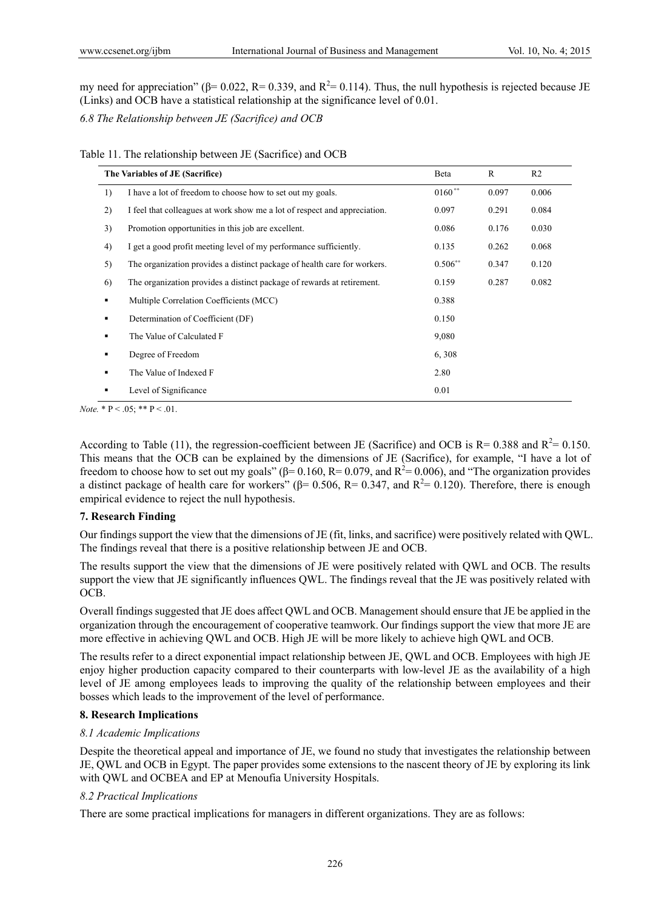my need for appreciation" ( $\beta$ = 0.022, R= 0.339, and R<sup>2</sup>= 0.114). Thus, the null hypothesis is rejected because JE (Links) and OCB have a statistical relationship at the significance level of 0.01.

*6.8 The Relationship between JE (Sacrifice) and OCB* 

| Table 11. The relationship between JE (Sacrifice) and OCB |
|-----------------------------------------------------------|
|-----------------------------------------------------------|

|    | The Variables of JE (Sacrifice)                                           | Beta      | R     | R <sub>2</sub> |
|----|---------------------------------------------------------------------------|-----------|-------|----------------|
| 1) | I have a lot of freedom to choose how to set out my goals.                | $0160**$  | 0.097 | 0.006          |
| 2) | I feel that colleagues at work show me a lot of respect and appreciation. | 0.097     | 0.291 | 0.084          |
| 3) | Promotion opportunities in this job are excellent.                        | 0.086     | 0.176 | 0.030          |
| 4) | I get a good profit meeting level of my performance sufficiently.         | 0.135     | 0.262 | 0.068          |
| 5) | The organization provides a distinct package of health care for workers.  | $0.506**$ | 0.347 | 0.120          |
| 6) | The organization provides a distinct package of rewards at retirement.    | 0.159     | 0.287 | 0.082          |
| ٠  | Multiple Correlation Coefficients (MCC)                                   | 0.388     |       |                |
| ٠  | Determination of Coefficient (DF)                                         | 0.150     |       |                |
| ٠  | The Value of Calculated F                                                 | 9,080     |       |                |
| ٠  | Degree of Freedom                                                         | 6,308     |       |                |
| ٠  | The Value of Indexed F                                                    | 2.80      |       |                |
| ٠  | Level of Significance                                                     | 0.01      |       |                |

*Note.*  $* P < .05$ ;  $* P < .01$ .

According to Table (11), the regression-coefficient between JE (Sacrifice) and OCB is  $R = 0.388$  and  $R^2 = 0.150$ . This means that the OCB can be explained by the dimensions of JE (Sacrifice), for example, "I have a lot of freedom to choose how to set out my goals" ( $\beta$ = 0.160, R= 0.079, and R<sup>2</sup>= 0.006), and "The organization provides a distinct package of health care for workers" ( $\beta$ = 0.506, R= 0.347, and R<sup>2</sup>= 0.120). Therefore, there is enough empirical evidence to reject the null hypothesis.

## **7. Research Finding**

Our findings support the view that the dimensions of JE (fit, links, and sacrifice) were positively related with QWL. The findings reveal that there is a positive relationship between JE and OCB.

The results support the view that the dimensions of JE were positively related with QWL and OCB. The results support the view that JE significantly influences QWL. The findings reveal that the JE was positively related with OCB.

Overall findings suggested that JE does affect QWL and OCB. Management should ensure that JE be applied in the organization through the encouragement of cooperative teamwork. Our findings support the view that more JE are more effective in achieving QWL and OCB. High JE will be more likely to achieve high QWL and OCB.

The results refer to a direct exponential impact relationship between JE, QWL and OCB. Employees with high JE enjoy higher production capacity compared to their counterparts with low-level JE as the availability of a high level of JE among employees leads to improving the quality of the relationship between employees and their bosses which leads to the improvement of the level of performance.

#### **8. Research Implications**

#### *8.1 Academic Implications*

Despite the theoretical appeal and importance of JE, we found no study that investigates the relationship between JE, QWL and OCB in Egypt. The paper provides some extensions to the nascent theory of JE by exploring its link with QWL and OCBEA and EP at Menoufia University Hospitals.

## *8.2 Practical Implications*

There are some practical implications for managers in different organizations. They are as follows: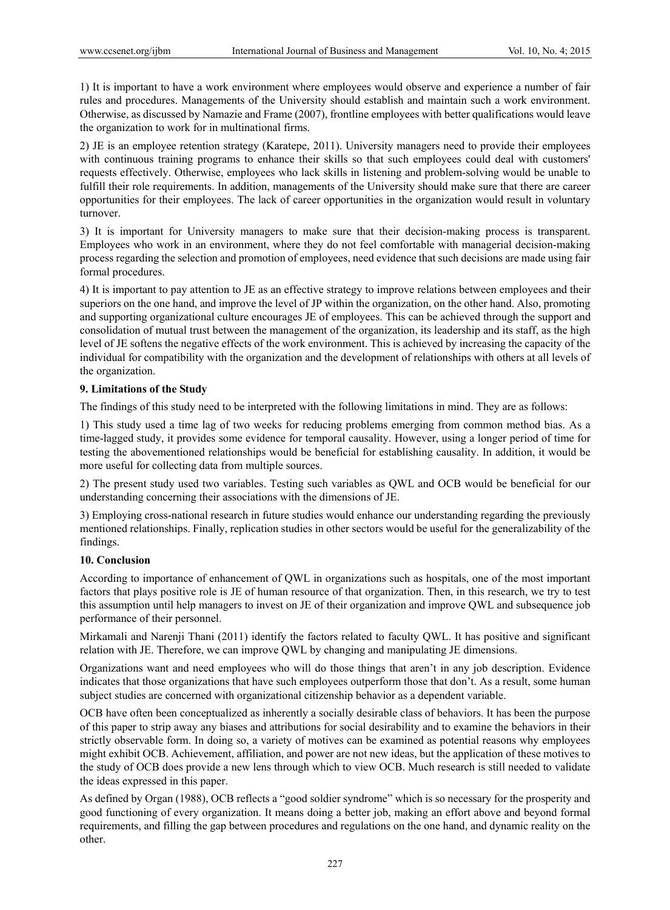1) It is important to have a work environment where employees would observe and experience a number of fair rules and procedures. Managements of the University should establish and maintain such a work environment. Otherwise, as discussed by Namazie and Frame (2007), frontline employees with better qualifications would leave the organization to work for in multinational firms.

2) JE is an employee retention strategy (Karatepe, 2011). University managers need to provide their employees with continuous training programs to enhance their skills so that such employees could deal with customers' requests effectively. Otherwise, employees who lack skills in listening and problem-solving would be unable to fulfill their role requirements. In addition, managements of the University should make sure that there are career opportunities for their employees. The lack of career opportunities in the organization would result in voluntary turnover.

3) It is important for University managers to make sure that their decision-making process is transparent. Employees who work in an environment, where they do not feel comfortable with managerial decision-making process regarding the selection and promotion of employees, need evidence that such decisions are made using fair formal procedures.

4) It is important to pay attention to JE as an effective strategy to improve relations between employees and their superiors on the one hand, and improve the level of JP within the organization, on the other hand. Also, promoting and supporting organizational culture encourages JE of employees. This can be achieved through the support and consolidation of mutual trust between the management of the organization, its leadership and its staff, as the high level of JE softens the negative effects of the work environment. This is achieved by increasing the capacity of the individual for compatibility with the organization and the development of relationships with others at all levels of the organization.

#### **9. Limitations of the Study**

The findings of this study need to be interpreted with the following limitations in mind. They are as follows:

1) This study used a time lag of two weeks for reducing problems emerging from common method bias. As a time-lagged study, it provides some evidence for temporal causality. However, using a longer period of time for testing the abovementioned relationships would be beneficial for establishing causality. In addition, it would be more useful for collecting data from multiple sources.

2) The present study used two variables. Testing such variables as QWL and OCB would be beneficial for our understanding concerning their associations with the dimensions of JE.

3) Employing cross-national research in future studies would enhance our understanding regarding the previously mentioned relationships. Finally, replication studies in other sectors would be useful for the generalizability of the findings.

## **10. Conclusion**

According to importance of enhancement of QWL in organizations such as hospitals, one of the most important factors that plays positive role is JE of human resource of that organization. Then, in this research, we try to test this assumption until help managers to invest on JE of their organization and improve QWL and subsequence job performance of their personnel.

Mirkamali and Narenji Thani (2011) identify the factors related to faculty QWL. It has positive and significant relation with JE. Therefore, we can improve QWL by changing and manipulating JE dimensions.

Organizations want and need employees who will do those things that aren't in any job description. Evidence indicates that those organizations that have such employees outperform those that don't. As a result, some human subject studies are concerned with organizational citizenship behavior as a dependent variable.

OCB have often been conceptualized as inherently a socially desirable class of behaviors. It has been the purpose of this paper to strip away any biases and attributions for social desirability and to examine the behaviors in their strictly observable form. In doing so, a variety of motives can be examined as potential reasons why employees might exhibit OCB. Achievement, affiliation, and power are not new ideas, but the application of these motives to the study of OCB does provide a new lens through which to view OCB. Much research is still needed to validate the ideas expressed in this paper.

As defined by Organ (1988), OCB reflects a "good soldier syndrome" which is so necessary for the prosperity and good functioning of every organization. It means doing a better job, making an effort above and beyond formal requirements, and filling the gap between procedures and regulations on the one hand, and dynamic reality on the other.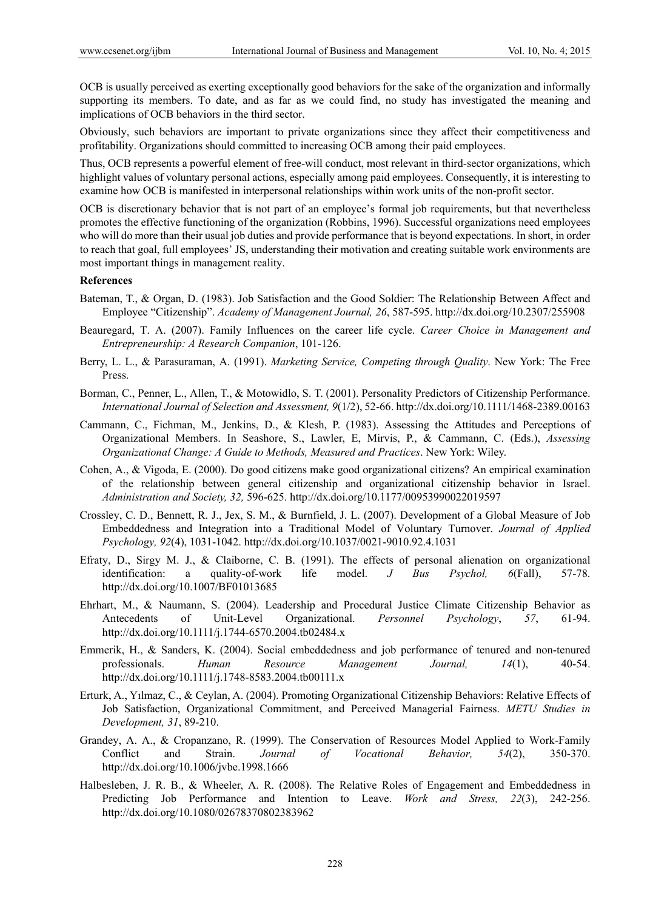OCB is usually perceived as exerting exceptionally good behaviors for the sake of the organization and informally supporting its members. To date, and as far as we could find, no study has investigated the meaning and implications of OCB behaviors in the third sector.

Obviously, such behaviors are important to private organizations since they affect their competitiveness and profitability. Organizations should committed to increasing OCB among their paid employees.

Thus, OCB represents a powerful element of free-will conduct, most relevant in third-sector organizations, which highlight values of voluntary personal actions, especially among paid employees. Consequently, it is interesting to examine how OCB is manifested in interpersonal relationships within work units of the non-profit sector.

OCB is discretionary behavior that is not part of an employee's formal job requirements, but that nevertheless promotes the effective functioning of the organization (Robbins, 1996). Successful organizations need employees who will do more than their usual job duties and provide performance that is beyond expectations. In short, in order to reach that goal, full employees' JS, understanding their motivation and creating suitable work environments are most important things in management reality.

## **References**

- Bateman, T., & Organ, D. (1983). Job Satisfaction and the Good Soldier: The Relationship Between Affect and Employee "Citizenship". *Academy of Management Journal, 26*, 587-595. http://dx.doi.org/10.2307/255908
- Beauregard, T. A. (2007). Family Influences on the career life cycle. *Career Choice in Management and Entrepreneurship: A Research Companion*, 101-126.
- Berry, L. L., & Parasuraman, A. (1991). *Marketing Service, Competing through Quality*. New York: The Free Press.
- Borman, C., Penner, L., Allen, T., & Motowidlo, S. T. (2001). Personality Predictors of Citizenship Performance. *International Journal of Selection and Assessment, 9*(1/2), 52-66. http://dx.doi.org/10.1111/1468-2389.00163
- Cammann, C., Fichman, M., Jenkins, D., & Klesh, P. (1983). Assessing the Attitudes and Perceptions of Organizational Members. In Seashore, S., Lawler, E, Mirvis, P., & Cammann, C. (Eds.), *Assessing Organizational Change: A Guide to Methods, Measured and Practices*. New York: Wiley.
- Cohen, A., & Vigoda, E. (2000). Do good citizens make good organizational citizens? An empirical examination of the relationship between general citizenship and organizational citizenship behavior in Israel. *Administration and Society, 32,* 596-625. http://dx.doi.org/10.1177/00953990022019597
- Crossley, C. D., Bennett, R. J., Jex, S. M., & Burnfield, J. L. (2007). Development of a Global Measure of Job Embeddedness and Integration into a Traditional Model of Voluntary Turnover. *Journal of Applied Psychology, 92*(4), 1031-1042. http://dx.doi.org/10.1037/0021-9010.92.4.1031
- Efraty, D., Sirgy M. J., & Claiborne, C. B. (1991). The effects of personal alienation on organizational identification: a quality-of-work life model. *J Bus Psychol, 6*(Fall), 57-78. http://dx.doi.org/10.1007/BF01013685
- Ehrhart, M., & Naumann, S. (2004). Leadership and Procedural Justice Climate Citizenship Behavior as Antecedents of Unit-Level Organizational. *Personnel Psychology*, *57*, 61-94. http://dx.doi.org/10.1111/j.1744-6570.2004.tb02484.x
- Emmerik, H., & Sanders, K. (2004). Social embeddedness and job performance of tenured and non-tenured professionals. *Human Resource Management Journal, 14*(1), 40-54. http://dx.doi.org/10.1111/j.1748-8583.2004.tb00111.x
- Erturk, A., Yılmaz, C., & Ceylan, A. (2004). Promoting Organizational Citizenship Behaviors: Relative Effects of Job Satisfaction, Organizational Commitment, and Perceived Managerial Fairness. *METU Studies in Development, 31*, 89-210.
- Grandey, A. A., & Cropanzano, R. (1999). The Conservation of Resources Model Applied to Work-Family Conflict and Strain. *Journal of Vocational Behavior, 54*(2), 350-370. http://dx.doi.org/10.1006/jvbe.1998.1666
- Halbesleben, J. R. B., & Wheeler, A. R. (2008). The Relative Roles of Engagement and Embeddedness in Predicting Job Performance and Intention to Leave. *Work and Stress, 22*(3), 242-256. http://dx.doi.org/10.1080/02678370802383962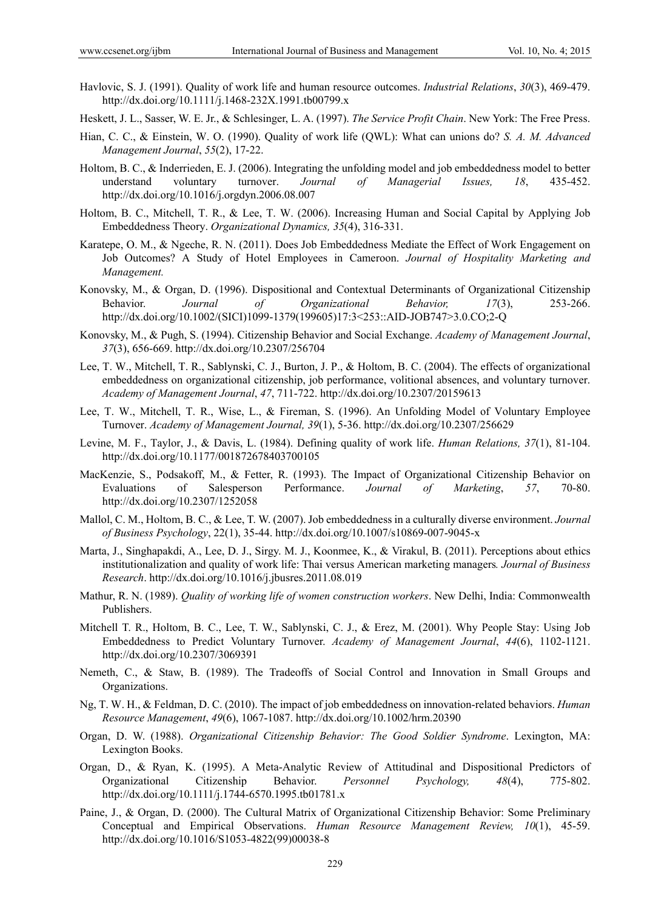- Havlovic, S. J. (1991). Quality of work life and human resource outcomes. *Industrial Relations*, *30*(3), 469-479. http://dx.doi.org/10.1111/j.1468-232X.1991.tb00799.x
- Heskett, J. L., Sasser, W. E. Jr., & Schlesinger, L. A. (1997). *The Service Profit Chain*. New York: The Free Press.
- Hian, C. C., & Einstein, W. O. (1990). Quality of work life (QWL): What can unions do? *S. A. M. Advanced Management Journal*, *55*(2), 17-22.
- Holtom, B. C., & Inderrieden, E. J. (2006). Integrating the unfolding model and job embeddedness model to better understand voluntary turnover. *Journal of Managerial Issues, 18*, 435-452. http://dx.doi.org/10.1016/j.orgdyn.2006.08.007
- Holtom, B. C., Mitchell, T. R., & Lee, T. W. (2006). Increasing Human and Social Capital by Applying Job Embeddedness Theory. *Organizational Dynamics, 35*(4), 316-331.
- Karatepe, O. M., & Ngeche, R. N. (2011). Does Job Embeddedness Mediate the Effect of Work Engagement on Job Outcomes? A Study of Hotel Employees in Cameroon. *Journal of Hospitality Marketing and Management.*
- Konovsky, M., & Organ, D. (1996). Dispositional and Contextual Determinants of Organizational Citizenship Behavior. *Journal of Organizational Behavior, 17*(3), 253-266. http://dx.doi.org/10.1002/(SICI)1099-1379(199605)17:3<253::AID-JOB747>3.0.CO;2-Q
- Konovsky, M., & Pugh, S. (1994). Citizenship Behavior and Social Exchange. *Academy of Management Journal*, *37*(3), 656-669. http://dx.doi.org/10.2307/256704
- Lee, T. W., Mitchell, T. R., Sablynski, C. J., Burton, J. P., & Holtom, B. C. (2004). The effects of organizational embeddedness on organizational citizenship, job performance, volitional absences, and voluntary turnover. *Academy of Management Journal*, *47*, 711-722. http://dx.doi.org/10.2307/20159613
- Lee, T. W., Mitchell, T. R., Wise, L., & Fireman, S. (1996). An Unfolding Model of Voluntary Employee Turnover. *Academy of Management Journal, 39*(1), 5-36. http://dx.doi.org/10.2307/256629
- Levine, M. F., Taylor, J., & Davis, L. (1984). Defining quality of work life. *Human Relations, 37*(1), 81-104. http://dx.doi.org/10.1177/001872678403700105
- MacKenzie, S., Podsakoff, M., & Fetter, R. (1993). The Impact of Organizational Citizenship Behavior on Evaluations of Salesperson Performance. *Journal of Marketing*, *57*, 70-80. http://dx.doi.org/10.2307/1252058
- Mallol, C. M., Holtom, B. C., & Lee, T. W. (2007). Job embeddedness in a culturally diverse environment. *Journal of Business Psychology*, 22(1), 35-44. http://dx.doi.org/10.1007/s10869-007-9045-x
- Marta, J., Singhapakdi, A., Lee, D. J., Sirgy. M. J., Koonmee, K., & Virakul, B. (2011). Perceptions about ethics institutionalization and quality of work life: Thai versus American marketing managers*. Journal of Business Research*. http://dx.doi.org/10.1016/j.jbusres.2011.08.019
- Mathur, R. N. (1989). *Quality of working life of women construction workers*. New Delhi, India: Commonwealth Publishers.
- Mitchell T. R., Holtom, B. C., Lee, T. W., Sablynski, C. J., & Erez, M. (2001). Why People Stay: Using Job Embeddedness to Predict Voluntary Turnover. *Academy of Management Journal*, *44*(6), 1102-1121. http://dx.doi.org/10.2307/3069391
- Nemeth, C., & Staw, B. (1989). The Tradeoffs of Social Control and Innovation in Small Groups and Organizations.
- Ng, T. W. H., & Feldman, D. C. (2010). The impact of job embeddedness on innovation-related behaviors. *Human Resource Management*, *49*(6), 1067-1087. http://dx.doi.org/10.1002/hrm.20390
- Organ, D. W. (1988). *Organizational Citizenship Behavior: The Good Soldier Syndrome*. Lexington, MA: Lexington Books.
- Organ, D., & Ryan, K. (1995). A Meta-Analytic Review of Attitudinal and Dispositional Predictors of Organizational Citizenship Behavior. *Personnel Psychology, 48*(4), 775-802. http://dx.doi.org/10.1111/j.1744-6570.1995.tb01781.x
- Paine, J., & Organ, D. (2000). The Cultural Matrix of Organizational Citizenship Behavior: Some Preliminary Conceptual and Empirical Observations. *Human Resource Management Review, 10*(1), 45-59. http://dx.doi.org/10.1016/S1053-4822(99)00038-8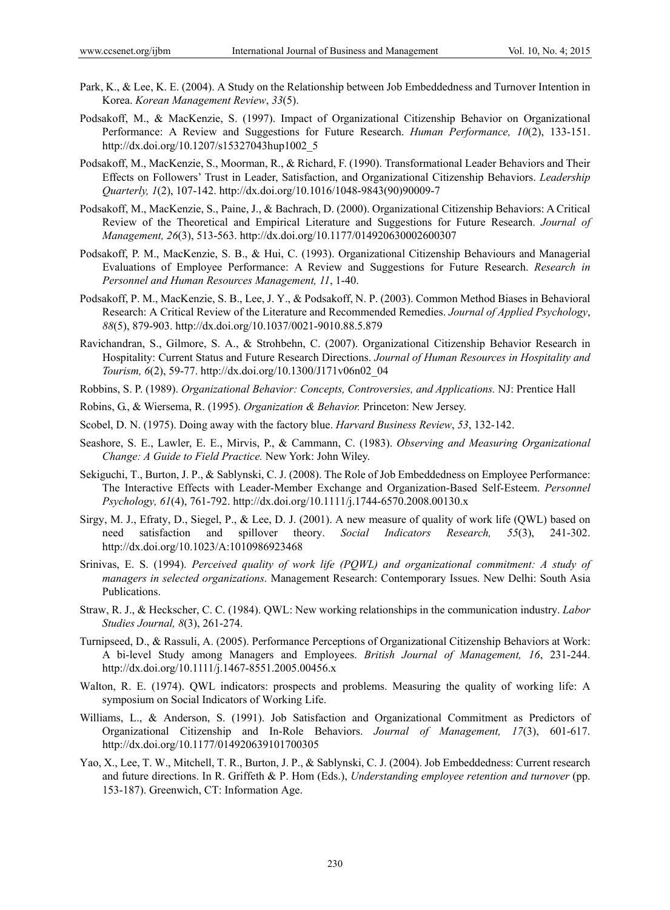- Park, K., & Lee, K. E. (2004). A Study on the Relationship between Job Embeddedness and Turnover Intention in Korea. *Korean Management Review*, *33*(5).
- Podsakoff, M., & MacKenzie, S. (1997). Impact of Organizational Citizenship Behavior on Organizational Performance: A Review and Suggestions for Future Research. *Human Performance, 10*(2), 133-151. http://dx.doi.org/10.1207/s15327043hup1002\_5
- Podsakoff, M., MacKenzie, S., Moorman, R., & Richard, F. (1990). Transformational Leader Behaviors and Their Effects on Followers' Trust in Leader, Satisfaction, and Organizational Citizenship Behaviors. *Leadership Quarterly, 1*(2), 107-142. http://dx.doi.org/10.1016/1048-9843(90)90009-7
- Podsakoff, M., MacKenzie, S., Paine, J., & Bachrach, D. (2000). Organizational Citizenship Behaviors: A Critical Review of the Theoretical and Empirical Literature and Suggestions for Future Research. *Journal of Management, 26*(3), 513-563. http://dx.doi.org/10.1177/014920630002600307
- Podsakoff, P. M., MacKenzie, S. B., & Hui, C. (1993). Organizational Citizenship Behaviours and Managerial Evaluations of Employee Performance: A Review and Suggestions for Future Research. *Research in Personnel and Human Resources Management, 11*, 1-40.
- Podsakoff, P. M., MacKenzie, S. B., Lee, J. Y., & Podsakoff, N. P. (2003). Common Method Biases in Behavioral Research: A Critical Review of the Literature and Recommended Remedies. *Journal of Applied Psychology*, *88*(5), 879-903. http://dx.doi.org/10.1037/0021-9010.88.5.879
- Ravichandran, S., Gilmore, S. A., & Strohbehn, C. (2007). Organizational Citizenship Behavior Research in Hospitality: Current Status and Future Research Directions. *Journal of Human Resources in Hospitality and Tourism, 6*(2), 59-77. http://dx.doi.org/10.1300/J171v06n02\_04
- Robbins, S. P. (1989). *Organizational Behavior: Concepts, Controversies, and Applications.* NJ: Prentice Hall
- Robins, G., & Wiersema, R. (1995). *Organization & Behavior.* Princeton: New Jersey.
- Scobel, D. N. (1975). Doing away with the factory blue. *Harvard Business Review*, *53*, 132-142.
- Seashore, S. E., Lawler, E. E., Mirvis, P., & Cammann, C. (1983). *Observing and Measuring Organizational Change: A Guide to Field Practice.* New York: John Wiley.
- Sekiguchi, T., Burton, J. P., & Sablynski, C. J. (2008). The Role of Job Embeddedness on Employee Performance: The Interactive Effects with Leader-Member Exchange and Organization-Based Self-Esteem. *Personnel Psychology, 61*(4), 761-792. http://dx.doi.org/10.1111/j.1744-6570.2008.00130.x
- Sirgy, M. J., Efraty, D., Siegel, P., & Lee, D. J. (2001). A new measure of quality of work life (QWL) based on need satisfaction and spillover theory. *Social Indicators Research, 55*(3), 241-302. http://dx.doi.org/10.1023/A:1010986923468
- Srinivas, E. S. (1994). *Perceived quality of work life (PQWL) and organizational commitment: A study of managers in selected organizations*. Management Research: Contemporary Issues. New Delhi: South Asia Publications.
- Straw, R. J., & Heckscher, C. C. (1984). QWL: New working relationships in the communication industry. *Labor Studies Journal, 8*(3), 261-274.
- Turnipseed, D., & Rassuli, A. (2005). Performance Perceptions of Organizational Citizenship Behaviors at Work: A bi-level Study among Managers and Employees. *British Journal of Management, 16*, 231-244. http://dx.doi.org/10.1111/j.1467-8551.2005.00456.x
- Walton, R. E. (1974). QWL indicators: prospects and problems. Measuring the quality of working life: A symposium on Social Indicators of Working Life.
- Williams, L., & Anderson, S. (1991). Job Satisfaction and Organizational Commitment as Predictors of Organizational Citizenship and In-Role Behaviors. *Journal of Management, 17*(3), 601-617. http://dx.doi.org/10.1177/014920639101700305
- Yao, X., Lee, T. W., Mitchell, T. R., Burton, J. P., & Sablynski, C. J. (2004). Job Embeddedness: Current research and future directions. In R. Griffeth & P. Hom (Eds.), *Understanding employee retention and turnover* (pp. 153-187). Greenwich, CT: Information Age.